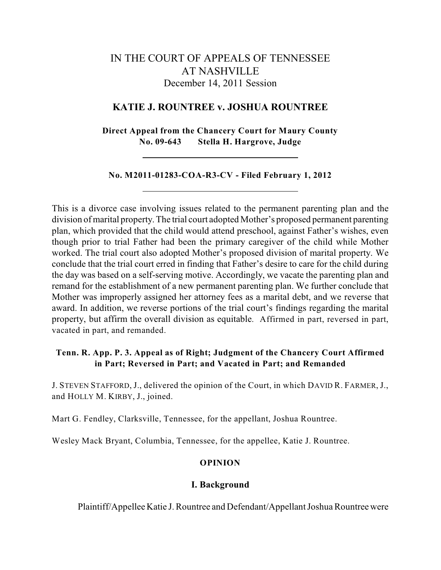# IN THE COURT OF APPEALS OF TENNESSEE AT NASHVILLE December 14, 2011 Session

### **KATIE J. ROUNTREE v. JOSHUA ROUNTREE**

**Direct Appeal from the Chancery Court for Maury County No. 09-643 Stella H. Hargrove, Judge**

#### **No. M2011-01283-COA-R3-CV - Filed February 1, 2012**

This is a divorce case involving issues related to the permanent parenting plan and the division of marital property. The trial court adopted Mother's proposed permanent parenting plan, which provided that the child would attend preschool, against Father's wishes, even though prior to trial Father had been the primary caregiver of the child while Mother worked. The trial court also adopted Mother's proposed division of marital property. We conclude that the trial court erred in finding that Father's desire to care for the child during the day was based on a self-serving motive. Accordingly, we vacate the parenting plan and remand for the establishment of a new permanent parenting plan. We further conclude that Mother was improperly assigned her attorney fees as a marital debt, and we reverse that award. In addition, we reverse portions of the trial court's findings regarding the marital property, but affirm the overall division as equitable. Affirmed in part, reversed in part, vacated in part, and remanded.

# **Tenn. R. App. P. 3. Appeal as of Right; Judgment of the Chancery Court Affirmed in Part; Reversed in Part; and Vacated in Part; and Remanded**

J. STEVEN STAFFORD, J., delivered the opinion of the Court, in which DAVID R. FARMER, J., and HOLLY M. KIRBY, J., joined.

Mart G. Fendley, Clarksville, Tennessee, for the appellant, Joshua Rountree.

Wesley Mack Bryant, Columbia, Tennessee, for the appellee, Katie J. Rountree.

# **OPINION**

#### **I. Background**

Plaintiff/Appellee Katie J. Rountree and Defendant/Appellant Joshua Rountree were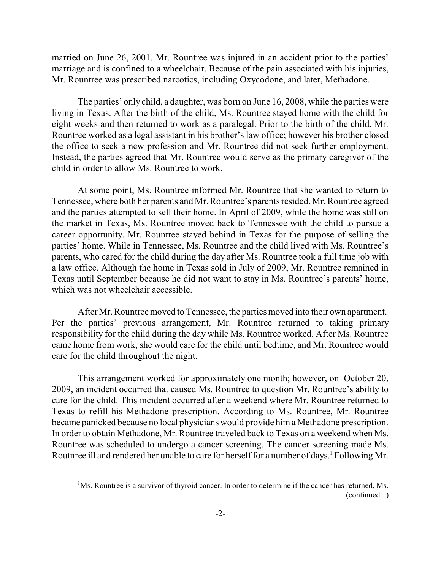married on June 26, 2001. Mr. Rountree was injured in an accident prior to the parties' marriage and is confined to a wheelchair. Because of the pain associated with his injuries, Mr. Rountree was prescribed narcotics, including Oxycodone, and later, Methadone.

The parties' only child, a daughter, was born on June 16, 2008, while the parties were living in Texas. After the birth of the child, Ms. Rountree stayed home with the child for eight weeks and then returned to work as a paralegal. Prior to the birth of the child, Mr. Rountree worked as a legal assistant in his brother's law office; however his brother closed the office to seek a new profession and Mr. Rountree did not seek further employment. Instead, the parties agreed that Mr. Rountree would serve as the primary caregiver of the child in order to allow Ms. Rountree to work.

At some point, Ms. Rountree informed Mr. Rountree that she wanted to return to Tennessee, where both her parents and Mr. Rountree's parents resided. Mr. Rountree agreed and the parties attempted to sell their home. In April of 2009, while the home was still on the market in Texas, Ms. Rountree moved back to Tennessee with the child to pursue a career opportunity. Mr. Rountree stayed behind in Texas for the purpose of selling the parties' home. While in Tennessee, Ms. Rountree and the child lived with Ms. Rountree's parents, who cared for the child during the day after Ms. Rountree took a full time job with a law office. Although the home in Texas sold in July of 2009, Mr. Rountree remained in Texas until September because he did not want to stay in Ms. Rountree's parents' home, which was not wheelchair accessible.

After Mr. Rountree moved to Tennessee, the parties moved into their own apartment. Per the parties' previous arrangement, Mr. Rountree returned to taking primary responsibility for the child during the day while Ms. Rountree worked. After Ms. Rountree came home from work, she would care for the child until bedtime, and Mr. Rountree would care for the child throughout the night.

This arrangement worked for approximately one month; however, on October 20, 2009, an incident occurred that caused Ms. Rountree to question Mr. Rountree's ability to care for the child. This incident occurred after a weekend where Mr. Rountree returned to Texas to refill his Methadone prescription. According to Ms. Rountree, Mr. Rountree became panicked because no local physicians would provide hima Methadone prescription. In order to obtain Methadone, Mr. Rountree traveled back to Texas on a weekend when Ms. Rountree was scheduled to undergo a cancer screening. The cancer screening made Ms. Routnree ill and rendered her unable to care for herself for a number of days.<sup>1</sup> Following Mr.

 $M$ s. Rountree is a survivor of thyroid cancer. In order to determine if the cancer has returned, Ms. (continued...)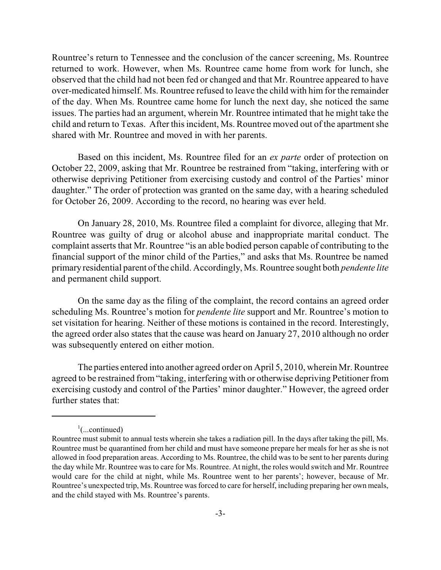Rountree's return to Tennessee and the conclusion of the cancer screening, Ms. Rountree returned to work. However, when Ms. Rountree came home from work for lunch, she observed that the child had not been fed or changed and that Mr. Rountree appeared to have over-medicated himself. Ms. Rountree refused to leave the child with him for the remainder of the day. When Ms. Rountree came home for lunch the next day, she noticed the same issues. The parties had an argument, wherein Mr. Rountree intimated that he might take the child and return to Texas. After this incident, Ms. Rountree moved out of the apartment she shared with Mr. Rountree and moved in with her parents.

Based on this incident, Ms. Rountree filed for an *ex parte* order of protection on October 22, 2009, asking that Mr. Rountree be restrained from "taking, interfering with or otherwise depriving Petitioner from exercising custody and control of the Parties' minor daughter." The order of protection was granted on the same day, with a hearing scheduled for October 26, 2009. According to the record, no hearing was ever held.

On January 28, 2010, Ms. Rountree filed a complaint for divorce, alleging that Mr. Rountree was guilty of drug or alcohol abuse and inappropriate marital conduct. The complaint asserts that Mr. Rountree "is an able bodied person capable of contributing to the financial support of the minor child of the Parties," and asks that Ms. Rountree be named primary residential parent ofthe child. Accordingly, Ms. Rountree sought both *pendente lite* and permanent child support.

On the same day as the filing of the complaint, the record contains an agreed order scheduling Ms. Rountree's motion for *pendente lite* support and Mr. Rountree's motion to set visitation for hearing. Neither of these motions is contained in the record. Interestingly, the agreed order also states that the cause was heard on January 27, 2010 although no order was subsequently entered on either motion.

The parties entered into another agreed order on April 5, 2010, wherein Mr. Rountree agreed to be restrained from"taking, interfering with or otherwise depriving Petitioner from exercising custody and control of the Parties' minor daughter." However, the agreed order further states that:

 $\cdot$ ...continued)

Rountree must submit to annual tests wherein she takes a radiation pill. In the days after taking the pill, Ms. Rountree must be quarantined from her child and must have someone prepare her meals for her as she is not allowed in food preparation areas. According to Ms. Rountree, the child was to be sent to her parents during the day while Mr. Rountree was to care for Ms. Rountree. At night, the roles would switch and Mr. Rountree would care for the child at night, while Ms. Rountree went to her parents'; however, because of Mr. Rountree's unexpected trip, Ms. Rountree was forced to care for herself, including preparing her own meals, and the child stayed with Ms. Rountree's parents.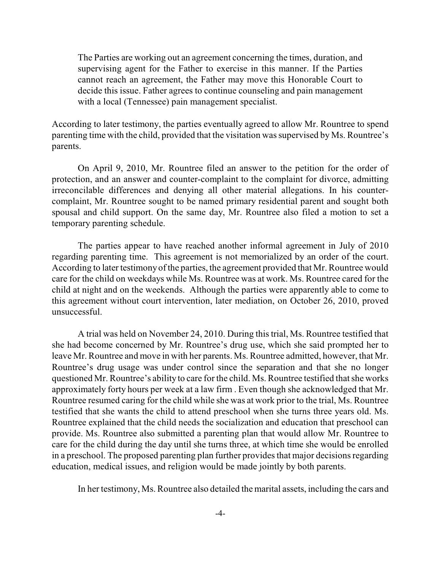The Parties are working out an agreement concerning the times, duration, and supervising agent for the Father to exercise in this manner. If the Parties cannot reach an agreement, the Father may move this Honorable Court to decide this issue. Father agrees to continue counseling and pain management with a local (Tennessee) pain management specialist.

According to later testimony, the parties eventually agreed to allow Mr. Rountree to spend parenting time with the child, provided that the visitation was supervised by Ms. Rountree's parents.

On April 9, 2010, Mr. Rountree filed an answer to the petition for the order of protection, and an answer and counter-complaint to the complaint for divorce, admitting irreconcilable differences and denying all other material allegations. In his countercomplaint, Mr. Rountree sought to be named primary residential parent and sought both spousal and child support. On the same day, Mr. Rountree also filed a motion to set a temporary parenting schedule.

The parties appear to have reached another informal agreement in July of 2010 regarding parenting time. This agreement is not memorialized by an order of the court. According to later testimonyof the parties, the agreement provided that Mr. Rountree would care for the child on weekdays while Ms. Rountree was at work. Ms. Rountree cared for the child at night and on the weekends. Although the parties were apparently able to come to this agreement without court intervention, later mediation, on October 26, 2010, proved unsuccessful.

A trial was held on November 24, 2010. During this trial, Ms. Rountree testified that she had become concerned by Mr. Rountree's drug use, which she said prompted her to leave Mr. Rountree and move in with her parents. Ms. Rountree admitted, however, that Mr. Rountree's drug usage was under control since the separation and that she no longer questioned Mr. Rountree's ability to care for the child. Ms. Rountree testified that she works approximately forty hours per week at a law firm . Even though she acknowledged that Mr. Rountree resumed caring for the child while she was at work prior to the trial, Ms. Rountree testified that she wants the child to attend preschool when she turns three years old. Ms. Rountree explained that the child needs the socialization and education that preschool can provide. Ms. Rountree also submitted a parenting plan that would allow Mr. Rountree to care for the child during the day until she turns three, at which time she would be enrolled in a preschool. The proposed parenting plan further provides that major decisions regarding education, medical issues, and religion would be made jointly by both parents.

In her testimony, Ms. Rountree also detailed the marital assets, including the cars and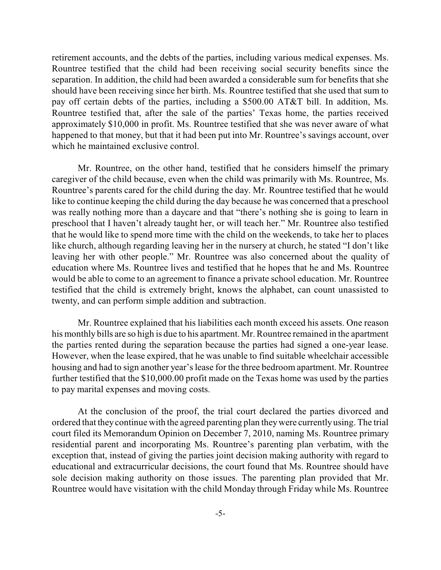retirement accounts, and the debts of the parties, including various medical expenses. Ms. Rountree testified that the child had been receiving social security benefits since the separation. In addition, the child had been awarded a considerable sum for benefits that she should have been receiving since her birth. Ms. Rountree testified that she used that sum to pay off certain debts of the parties, including a \$500.00 AT&T bill. In addition, Ms. Rountree testified that, after the sale of the parties' Texas home, the parties received approximately \$10,000 in profit. Ms. Rountree testified that she was never aware of what happened to that money, but that it had been put into Mr. Rountree's savings account, over which he maintained exclusive control.

Mr. Rountree, on the other hand, testified that he considers himself the primary caregiver of the child because, even when the child was primarily with Ms. Rountree, Ms. Rountree's parents cared for the child during the day. Mr. Rountree testified that he would like to continue keeping the child during the day because he was concerned that a preschool was really nothing more than a daycare and that "there's nothing she is going to learn in preschool that I haven't already taught her, or will teach her." Mr. Rountree also testified that he would like to spend more time with the child on the weekends, to take her to places like church, although regarding leaving her in the nursery at church, he stated "I don't like leaving her with other people." Mr. Rountree was also concerned about the quality of education where Ms. Rountree lives and testified that he hopes that he and Ms. Rountree would be able to come to an agreement to finance a private school education. Mr. Rountree testified that the child is extremely bright, knows the alphabet, can count unassisted to twenty, and can perform simple addition and subtraction.

Mr. Rountree explained that his liabilities each month exceed his assets. One reason his monthly bills are so high is due to his apartment. Mr. Rountree remained in the apartment the parties rented during the separation because the parties had signed a one-year lease. However, when the lease expired, that he was unable to find suitable wheelchair accessible housing and had to sign another year's lease for the three bedroom apartment. Mr. Rountree further testified that the \$10,000.00 profit made on the Texas home was used by the parties to pay marital expenses and moving costs.

At the conclusion of the proof, the trial court declared the parties divorced and ordered that they continue with the agreed parenting plan theywere currentlyusing. The trial court filed its Memorandum Opinion on December 7, 2010, naming Ms. Rountree primary residential parent and incorporating Ms. Rountree's parenting plan verbatim, with the exception that, instead of giving the parties joint decision making authority with regard to educational and extracurricular decisions, the court found that Ms. Rountree should have sole decision making authority on those issues. The parenting plan provided that Mr. Rountree would have visitation with the child Monday through Friday while Ms. Rountree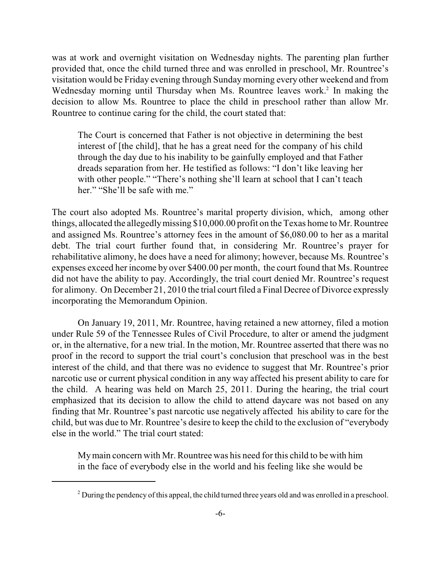was at work and overnight visitation on Wednesday nights. The parenting plan further provided that, once the child turned three and was enrolled in preschool, Mr. Rountree's visitation would be Friday evening through Sunday morning every other weekend and from Wednesday morning until Thursday when Ms. Rountree leaves work.<sup>2</sup> In making the decision to allow Ms. Rountree to place the child in preschool rather than allow Mr. Rountree to continue caring for the child, the court stated that:

The Court is concerned that Father is not objective in determining the best interest of [the child], that he has a great need for the company of his child through the day due to his inability to be gainfully employed and that Father dreads separation from her. He testified as follows: "I don't like leaving her with other people." "There's nothing she'll learn at school that I can't teach her." "She'll be safe with me."

The court also adopted Ms. Rountree's marital property division, which, among other things, allocated the allegedlymissing \$10,000.00 profit on the Texas home to Mr. Rountree and assigned Ms. Rountree's attorney fees in the amount of \$6,080.00 to her as a marital debt. The trial court further found that, in considering Mr. Rountree's prayer for rehabilitative alimony, he does have a need for alimony; however, because Ms. Rountree's expenses exceed her income by over \$400.00 per month, the court found that Ms. Rountree did not have the ability to pay. Accordingly, the trial court denied Mr. Rountree's request for alimony. On December 21, 2010 the trial court filed a Final Decree of Divorce expressly incorporating the Memorandum Opinion.

On January 19, 2011, Mr. Rountree, having retained a new attorney, filed a motion under Rule 59 of the Tennessee Rules of Civil Procedure, to alter or amend the judgment or, in the alternative, for a new trial. In the motion, Mr. Rountree asserted that there was no proof in the record to support the trial court's conclusion that preschool was in the best interest of the child, and that there was no evidence to suggest that Mr. Rountree's prior narcotic use or current physical condition in any way affected his present ability to care for the child. A hearing was held on March 25, 2011. During the hearing, the trial court emphasized that its decision to allow the child to attend daycare was not based on any finding that Mr. Rountree's past narcotic use negatively affected his ability to care for the child, but was due to Mr. Rountree's desire to keep the child to the exclusion of "everybody else in the world." The trial court stated:

Mymain concern with Mr. Rountree was his need for this child to be with him in the face of everybody else in the world and his feeling like she would be

 $2^2$  During the pendency of this appeal, the child turned three years old and was enrolled in a preschool.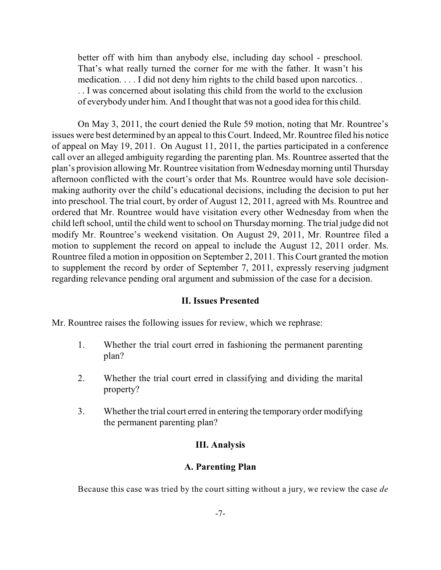better off with him than anybody else, including day school - preschool. That's what really turned the corner for me with the father. It wasn't his medication. . . . I did not deny him rights to the child based upon narcotics. . . . I was concerned about isolating this child from the world to the exclusion of everybody under him. And I thought that was not a good idea for this child.

On May 3, 2011, the court denied the Rule 59 motion, noting that Mr. Rountree's issues were best determined by an appeal to this Court. Indeed, Mr. Rountree filed his notice of appeal on May 19, 2011. On August 11, 2011, the parties participated in a conference call over an alleged ambiguity regarding the parenting plan. Ms. Rountree asserted that the plan's provision allowing Mr. Rountree visitation fromWednesdaymorning until Thursday afternoon conflicted with the court's order that Ms. Rountree would have sole decisionmaking authority over the child's educational decisions, including the decision to put her into preschool. The trial court, by order of August 12, 2011, agreed with Ms. Rountree and ordered that Mr. Rountree would have visitation every other Wednesday from when the child left school, until the child went to school on Thursdaymorning. The trial judge did not modify Mr. Rountree's weekend visitation. On August 29, 2011, Mr. Rountree filed a motion to supplement the record on appeal to include the August 12, 2011 order. Ms. Rountree filed a motion in opposition on September 2, 2011. This Court granted the motion to supplement the record by order of September 7, 2011, expressly reserving judgment regarding relevance pending oral argument and submission of the case for a decision.

#### **II. Issues Presented**

Mr. Rountree raises the following issues for review, which we rephrase:

- 1. Whether the trial court erred in fashioning the permanent parenting plan?
- 2. Whether the trial court erred in classifying and dividing the marital property?
- 3. Whether the trial court erred in entering the temporary order modifying the permanent parenting plan?

#### **III. Analysis**

#### **A. Parenting Plan**

Because this case was tried by the court sitting without a jury, we review the case *de*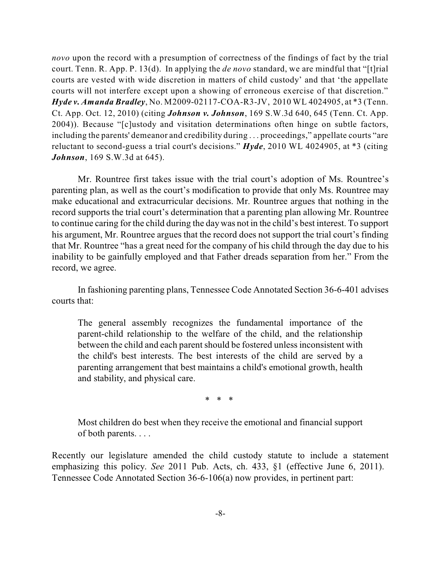*novo* upon the record with a presumption of correctness of the findings of fact by the trial court. Tenn. R. App. P. 13(d). In applying the *de novo* standard, we are mindful that "[t]rial courts are vested with wide discretion in matters of child custody' and that 'the appellate courts will not interfere except upon a showing of erroneous exercise of that discretion." *Hyde v. Amanda Bradley*, No. M2009-02117-COA-R3-JV, 2010 WL 4024905, at \*3 (Tenn. Ct. App. Oct. 12, 2010) (citing *Johnson v. Johnson*, 169 S.W.3d 640, 645 (Tenn. Ct. App. 2004)). Because "[c]ustody and visitation determinations often hinge on subtle factors, including the parents' demeanor and credibility during . . . proceedings," appellate courts "are reluctant to second-guess a trial court's decisions." *Hyde*, 2010 WL 4024905, at \*3 (citing *Johnson*, 169 S.W.3d at 645).

Mr. Rountree first takes issue with the trial court's adoption of Ms. Rountree's parenting plan, as well as the court's modification to provide that only Ms. Rountree may make educational and extracurricular decisions. Mr. Rountree argues that nothing in the record supports the trial court's determination that a parenting plan allowing Mr. Rountree to continue caring for the child during the day was not in the child's best interest. To support his argument, Mr. Rountree argues that the record does not support the trial court's finding that Mr. Rountree "has a great need for the company of his child through the day due to his inability to be gainfully employed and that Father dreads separation from her." From the record, we agree.

In fashioning parenting plans, Tennessee Code Annotated Section 36-6-401 advises courts that:

The general assembly recognizes the fundamental importance of the parent-child relationship to the welfare of the child, and the relationship between the child and each parent should be fostered unless inconsistent with the child's best interests. The best interests of the child are served by a parenting arrangement that best maintains a child's emotional growth, health and stability, and physical care.

\* \* \*

Most children do best when they receive the emotional and financial support of both parents. . . .

Recently our legislature amended the child custody statute to include a statement emphasizing this policy. *See* 2011 Pub. Acts, ch. 433, §1 (effective June 6, 2011). Tennessee Code Annotated Section 36-6-106(a) now provides, in pertinent part: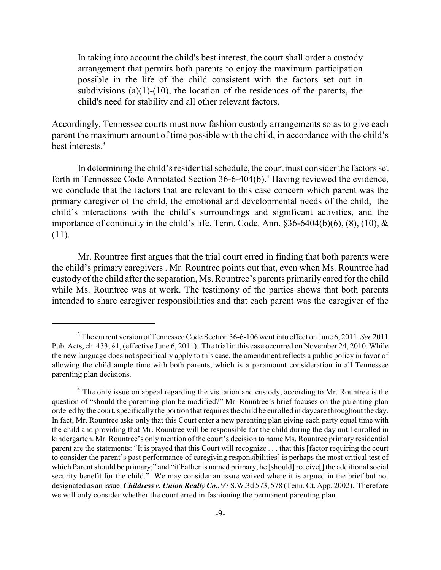In taking into account the child's best interest, the court shall order a custody arrangement that permits both parents to enjoy the maximum participation possible in the life of the child consistent with the factors set out in subdivisions (a)(1)-(10), the location of the residences of the parents, the child's need for stability and all other relevant factors.

Accordingly, Tennessee courts must now fashion custody arrangements so as to give each parent the maximum amount of time possible with the child, in accordance with the child's best interests.<sup>3</sup>

In determining the child's residential schedule, the court must consider the factors set forth in Tennessee Code Annotated Section  $36-6-404(b)$ .<sup>4</sup> Having reviewed the evidence, we conclude that the factors that are relevant to this case concern which parent was the primary caregiver of the child, the emotional and developmental needs of the child, the child's interactions with the child's surroundings and significant activities, and the importance of continuity in the child's life. Tenn. Code. Ann. §36-6404(b)(6), (8), (10), & (11).

Mr. Rountree first argues that the trial court erred in finding that both parents were the child's primary caregivers . Mr. Rountree points out that, even when Ms. Rountree had custody of the child after the separation, Ms. Rountree's parents primarily cared for the child while Ms. Rountree was at work. The testimony of the parties shows that both parents intended to share caregiver responsibilities and that each parent was the caregiver of the

<sup>&</sup>lt;sup>3</sup> The current version of Tennessee Code Section 36-6-106 went into effect on June 6, 2011. *See* 2011 Pub. Acts, ch. 433, §1, (effective June 6, 2011). The trial in this case occurred on November 24, 2010. While the new language does not specifically apply to this case, the amendment reflects a public policy in favor of allowing the child ample time with both parents, which is a paramount consideration in all Tennessee parenting plan decisions.

<sup>&</sup>lt;sup>4</sup> The only issue on appeal regarding the visitation and custody, according to Mr. Rountree is the question of "should the parenting plan be modified?" Mr. Rountree's brief focuses on the parenting plan ordered by the court, specifically the portion that requires the child be enrolled in daycare throughout the day. In fact, Mr. Rountree asks only that this Court enter a new parenting plan giving each party equal time with the child and providing that Mr. Rountree will be responsible for the child during the day until enrolled in kindergarten. Mr. Rountree's only mention of the court's decision to name Ms. Rountree primary residential parent are the statements: "It is prayed that this Court will recognize . . . that this [factor requiring the court to consider the parent's past performance of caregiving responsibilities] is perhaps the most critical test of which Parent should be primary;" and "if Father is named primary, he [should] receive[] the additional social security benefit for the child." We may consider an issue waived where it is argued in the brief but not designated as an issue. *Childress v. Union Realty Co.*, 97 S.W.3d 573, 578 (Tenn. Ct. App. 2002). Therefore we will only consider whether the court erred in fashioning the permanent parenting plan.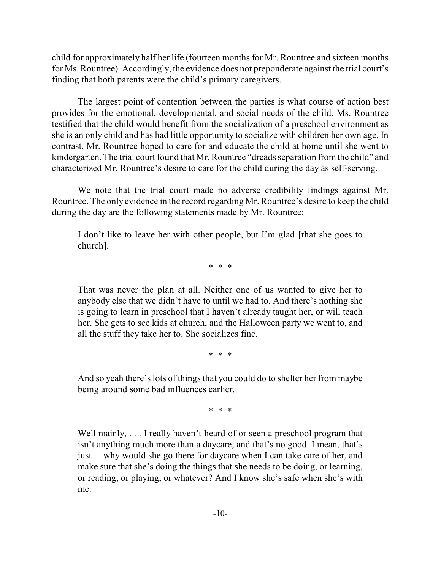child for approximately half her life (fourteen months for Mr. Rountree and sixteen months for Ms. Rountree). Accordingly, the evidence does not preponderate against the trial court's finding that both parents were the child's primary caregivers.

The largest point of contention between the parties is what course of action best provides for the emotional, developmental, and social needs of the child. Ms. Rountree testified that the child would benefit from the socialization of a preschool environment as she is an only child and has had little opportunity to socialize with children her own age. In contrast, Mr. Rountree hoped to care for and educate the child at home until she went to kindergarten. The trial court found that Mr. Rountree "dreads separation fromthe child" and characterized Mr. Rountree's desire to care for the child during the day as self-serving.

We note that the trial court made no adverse credibility findings against Mr. Rountree. The only evidence in the record regarding Mr. Rountree's desire to keep the child during the day are the following statements made by Mr. Rountree:

I don't like to leave her with other people, but I'm glad [that she goes to church].

\* \* \*

That was never the plan at all. Neither one of us wanted to give her to anybody else that we didn't have to until we had to. And there's nothing she is going to learn in preschool that I haven't already taught her, or will teach her. She gets to see kids at church, and the Halloween party we went to, and all the stuff they take her to. She socializes fine.

\* \* \*

And so yeah there's lots of things that you could do to shelter her from maybe being around some bad influences earlier.

\* \* \*

Well mainly, . . . I really haven't heard of or seen a preschool program that isn't anything much more than a daycare, and that's no good. I mean, that's just —why would she go there for daycare when I can take care of her, and make sure that she's doing the things that she needs to be doing, or learning, or reading, or playing, or whatever? And I know she's safe when she's with me.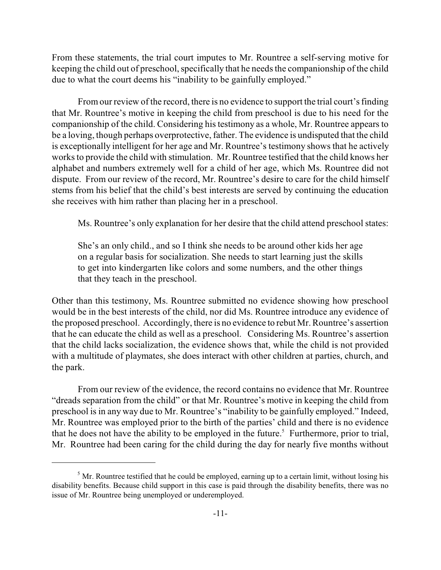From these statements, the trial court imputes to Mr. Rountree a self-serving motive for keeping the child out of preschool, specifically that he needs the companionship of the child due to what the court deems his "inability to be gainfully employed."

From our review of the record, there is no evidence to support the trial court's finding that Mr. Rountree's motive in keeping the child from preschool is due to his need for the companionship of the child. Considering his testimony as a whole, Mr. Rountree appears to be a loving, though perhaps overprotective, father. The evidence is undisputed that the child is exceptionally intelligent for her age and Mr. Rountree's testimony shows that he actively works to provide the child with stimulation. Mr. Rountree testified that the child knows her alphabet and numbers extremely well for a child of her age, which Ms. Rountree did not dispute. From our review of the record, Mr. Rountree's desire to care for the child himself stems from his belief that the child's best interests are served by continuing the education she receives with him rather than placing her in a preschool.

Ms. Rountree's only explanation for her desire that the child attend preschool states:

She's an only child., and so I think she needs to be around other kids her age on a regular basis for socialization. She needs to start learning just the skills to get into kindergarten like colors and some numbers, and the other things that they teach in the preschool.

Other than this testimony, Ms. Rountree submitted no evidence showing how preschool would be in the best interests of the child, nor did Ms. Rountree introduce any evidence of the proposed preschool. Accordingly, there is no evidence to rebut Mr. Rountree's assertion that he can educate the child as well as a preschool. Considering Ms. Rountree's assertion that the child lacks socialization, the evidence shows that, while the child is not provided with a multitude of playmates, she does interact with other children at parties, church, and the park.

From our review of the evidence, the record contains no evidence that Mr. Rountree "dreads separation from the child" or that Mr. Rountree's motive in keeping the child from preschool is in any way due to Mr. Rountree's "inability to be gainfully employed." Indeed, Mr. Rountree was employed prior to the birth of the parties' child and there is no evidence that he does not have the ability to be employed in the future.<sup>5</sup> Furthermore, prior to trial, Mr. Rountree had been caring for the child during the day for nearly five months without

 $<sup>5</sup>$  Mr. Rountree testified that he could be employed, earning up to a certain limit, without losing his</sup> disability benefits. Because child support in this case is paid through the disability benefits, there was no issue of Mr. Rountree being unemployed or underemployed.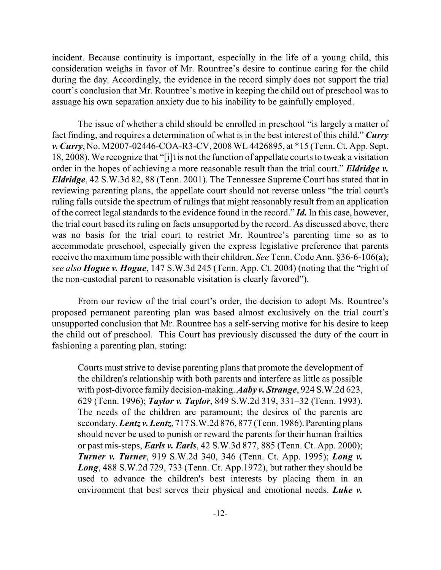incident. Because continuity is important, especially in the life of a young child, this consideration weighs in favor of Mr. Rountree's desire to continue caring for the child during the day. Accordingly, the evidence in the record simply does not support the trial court's conclusion that Mr. Rountree's motive in keeping the child out of preschool was to assuage his own separation anxiety due to his inability to be gainfully employed.

The issue of whether a child should be enrolled in preschool "is largely a matter of fact finding, and requires a determination of what is in the best interest of this child." *Curry v. Curry*, No. M2007-02446-COA-R3-CV, 2008 WL 4426895, at \*15 (Tenn. Ct. App. Sept. 18, 2008). We recognize that "[i]t is not the function of appellate courts to tweak a visitation order in the hopes of achieving a more reasonable result than the trial court." *Eldridge v. Eldridge*, 42 S.W.3d 82, 88 (Tenn. 2001). The Tennessee Supreme Court has stated that in reviewing parenting plans, the appellate court should not reverse unless "the trial court's ruling falls outside the spectrum of rulings that might reasonably result from an application of the correct legal standards to the evidence found in the record." *Id.* In this case, however, the trial court based its ruling on facts unsupported by the record. As discussed above, there was no basis for the trial court to restrict Mr. Rountree's parenting time so as to accommodate preschool, especially given the express legislative preference that parents receive the maximum time possible with their children. *See* Tenn. Code Ann. §36-6-106(a); *see also Hogue v. Hogue*, 147 S.W.3d 245 (Tenn. App. Ct. 2004) (noting that the "right of the non-custodial parent to reasonable visitation is clearly favored").

From our review of the trial court's order, the decision to adopt Ms. Rountree's proposed permanent parenting plan was based almost exclusively on the trial court's unsupported conclusion that Mr. Rountree has a self-serving motive for his desire to keep the child out of preschool. This Court has previously discussed the duty of the court in fashioning a parenting plan, stating:

Courts must strive to devise parenting plans that promote the development of the children's relationship with both parents and interfere as little as possible with post-divorce family decision-making. *Aaby v. Strange*, 924 S.W.2d 623, 629 (Tenn. 1996); *Taylor v. Taylor*, 849 S.W.2d 319, 331–32 (Tenn. 1993). The needs of the children are paramount; the desires of the parents are secondary.*Lentz v. Lentz*, 717 S.W.2d 876, 877 (Tenn. 1986). Parenting plans should never be used to punish or reward the parents for their human frailties or past mis-steps, *Earls v. Earls*, 42 S.W.3d 877, 885 (Tenn. Ct. App. 2000); *Turner v. Turner*, 919 S.W.2d 340, 346 (Tenn. Ct. App. 1995); *Long v. Long*, 488 S.W.2d 729, 733 (Tenn. Ct. App.1972), but rather they should be used to advance the children's best interests by placing them in an environment that best serves their physical and emotional needs. *Luke v.*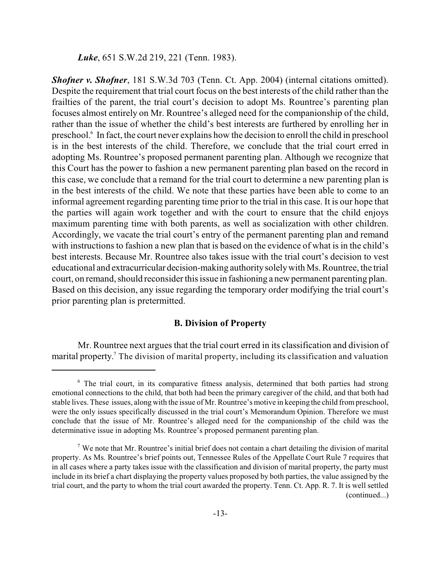*Luke*, 651 S.W.2d 219, 221 (Tenn. 1983).

*Shofner v. Shofner*, 181 S.W.3d 703 (Tenn. Ct. App. 2004) (internal citations omitted). Despite the requirement that trial court focus on the best interests of the child rather than the frailties of the parent, the trial court's decision to adopt Ms. Rountree's parenting plan focuses almost entirely on Mr. Rountree's alleged need for the companionship of the child, rather than the issue of whether the child's best interests are furthered by enrolling her in preschool.<sup>6</sup> In fact, the court never explains how the decision to enroll the child in preschool is in the best interests of the child. Therefore, we conclude that the trial court erred in adopting Ms. Rountree's proposed permanent parenting plan. Although we recognize that this Court has the power to fashion a new permanent parenting plan based on the record in this case, we conclude that a remand for the trial court to determine a new parenting plan is in the best interests of the child. We note that these parties have been able to come to an informal agreement regarding parenting time prior to the trial in this case. It is our hope that the parties will again work together and with the court to ensure that the child enjoys maximum parenting time with both parents, as well as socialization with other children. Accordingly, we vacate the trial court's entry of the permanent parenting plan and remand with instructions to fashion a new plan that is based on the evidence of what is in the child's best interests. Because Mr. Rountree also takes issue with the trial court's decision to vest educational and extracurricular decision-making authoritysolelywith Ms. Rountree, the trial court, on remand, should reconsider this issue in fashioning a new permanent parenting plan. Based on this decision, any issue regarding the temporary order modifying the trial court's prior parenting plan is pretermitted.

### **B. Division of Property**

Mr. Rountree next argues that the trial court erred in its classification and division of marital property.<sup>7</sup> The division of marital property, including its classification and valuation

 $6$  The trial court, in its comparative fitness analysis, determined that both parties had strong emotional connections to the child, that both had been the primary caregiver of the child, and that both had stable lives. These issues, along with the issue of Mr. Rountree's motive in keeping the child frompreschool, were the only issues specifically discussed in the trial court's Memorandum Opinion. Therefore we must conclude that the issue of Mr. Rountree's alleged need for the companionship of the child was the determinative issue in adopting Ms. Rountree's proposed permanent parenting plan.

We note that Mr. Rountree's initial brief does not contain a chart detailing the division of marital <sup>7</sup> property. As Ms. Rountree's brief points out, Tennessee Rules of the Appellate Court Rule 7 requires that in all cases where a party takes issue with the classification and division of marital property, the party must include in its brief a chart displaying the property values proposed by both parties, the value assigned by the trial court, and the party to whom the trial court awarded the property. Tenn. Ct. App. R. 7. It is well settled (continued...)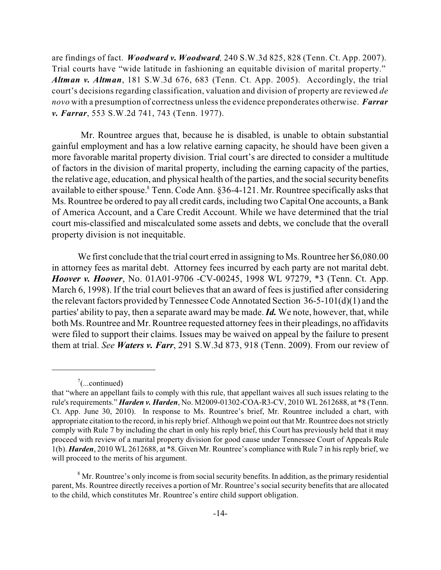are findings of fact. *Woodward v. Woodward,* 240 S.W.3d 825, 828 (Tenn. Ct. App. 2007). Trial courts have "wide latitude in fashioning an equitable division of marital property." *Altman v. Altman*, 181 S.W.3d 676, 683 (Tenn. Ct. App. 2005). Accordingly, the trial court's decisions regarding classification, valuation and division of property are reviewed *de novo* with a presumption of correctness unlessthe evidence preponderates otherwise. *Farrar v. Farrar*, 553 S.W.2d 741, 743 (Tenn. 1977).

Mr. Rountree argues that, because he is disabled, is unable to obtain substantial gainful employment and has a low relative earning capacity, he should have been given a more favorable marital property division. Trial court's are directed to consider a multitude of factors in the division of marital property, including the earning capacity of the parties, the relative age, education, and physical health of the parties, and the social security benefits available to either spouse. ${}^{8}$  Tenn. Code Ann.  $\S 36-4-121$ . Mr. Rountree specifically asks that Ms. Rountree be ordered to pay all credit cards, including two Capital One accounts, a Bank of America Account, and a Care Credit Account. While we have determined that the trial court mis-classified and miscalculated some assets and debts, we conclude that the overall property division is not inequitable.

We first conclude that the trial court erred in assigning to Ms. Rountree her \$6,080.00 in attorney fees as marital debt. Attorney fees incurred by each party are not marital debt. *Hoover v. Hoover*, No. 01A01-9706 -CV-00245, 1998 WL 97279, \*3 (Tenn. Ct. App. March 6, 1998). If the trial court believes that an award of fees is justified after considering the relevant factors provided by Tennessee Code Annotated Section  $36-5-101(d)(1)$  and the parties' ability to pay, then a separate award may be made. *Id.* We note, however, that, while both Ms. Rountree and Mr. Rountree requested attorney fees in their pleadings, no affidavits were filed to support their claims. Issues may be waived on appeal by the failure to present them at trial. *See Waters v. Farr*, 291 S.W.3d 873, 918 (Tenn. 2009). From our review of

 $\frac{7}{2}$ (...continued)

that "where an appellant fails to comply with this rule, that appellant waives all such issues relating to the rule's requirements." *Harden v. Harden*, No. M2009-01302-COA-R3-CV, 2010 WL 2612688, at \*8 (Tenn. Ct. App. June 30, 2010). In response to Ms. Rountree's brief, Mr. Rountree included a chart, with appropriate citation to the record, in hisreply brief. Although we point out that Mr. Rountree does notstrictly comply with Rule 7 by including the chart in only his reply brief, this Court has previously held that it may proceed with review of a marital property division for good cause under Tennessee Court of Appeals Rule 1(b). *Harden*, 2010 WL 2612688, at \*8. Given Mr. Rountree's compliance with Rule 7 in his reply brief, we will proceed to the merits of his argument.

 $8$  Mr. Rountree's only income is from social security benefits. In addition, as the primary residential parent, Ms. Rountree directly receives a portion of Mr. Rountree's social security benefits that are allocated to the child, which constitutes Mr. Rountree's entire child support obligation.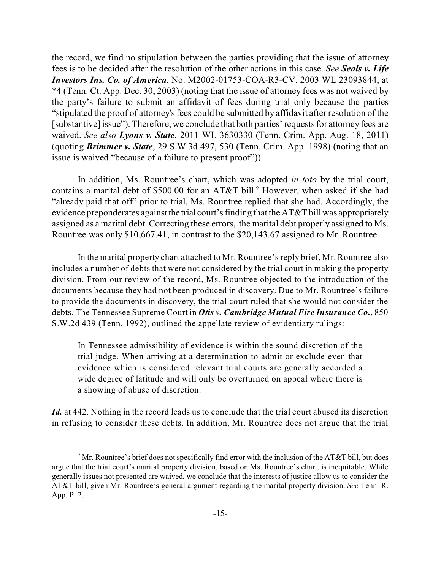the record, we find no stipulation between the parties providing that the issue of attorney fees is to be decided after the resolution of the other actions in this case. *See Seals v. Life Investors Ins. Co. of America*, No. M2002-01753-COA-R3-CV, 2003 WL 23093844, at \*4 (Tenn. Ct. App. Dec. 30, 2003) (noting that the issue of attorney fees was not waived by the party's failure to submit an affidavit of fees during trial only because the parties "stipulated the proof of attorney's fees could be submitted by affidavit after resolution of the [substantive] issue"). Therefore, we conclude that both parties' requests for attorney fees are waived. *See also Lyons v. State*, 2011 WL 3630330 (Tenn. Crim. App. Aug. 18, 2011) (quoting *Brimmer v. State*, 29 S.W.3d 497, 530 (Tenn. Crim. App. 1998) (noting that an issue is waived "because of a failure to present proof")).

In addition, Ms. Rountree's chart, which was adopted *in toto* by the trial court, contains a marital debt of \$500.00 for an AT&T bill. $9$  However, when asked if she had "already paid that off" prior to trial, Ms. Rountree replied that she had. Accordingly, the evidence preponderates against the trial court's finding that the  $AT&T$  bill was appropriately assigned as a marital debt. Correcting these errors, the marital debt properly assigned to Ms. Rountree was only \$10,667.41, in contrast to the \$20,143.67 assigned to Mr. Rountree.

In the marital property chart attached to Mr. Rountree's reply brief, Mr. Rountree also includes a number of debts that were not considered by the trial court in making the property division. From our review of the record, Ms. Rountree objected to the introduction of the documents because they had not been produced in discovery. Due to Mr. Rountree's failure to provide the documents in discovery, the trial court ruled that she would not consider the debts. The Tennessee Supreme Court in *Otis v. Cambridge Mutual Fire Insurance Co.*, 850 S.W.2d 439 (Tenn. 1992), outlined the appellate review of evidentiary rulings:

In Tennessee admissibility of evidence is within the sound discretion of the trial judge. When arriving at a determination to admit or exclude even that evidence which is considered relevant trial courts are generally accorded a wide degree of latitude and will only be overturned on appeal where there is a showing of abuse of discretion.

Id. at 442. Nothing in the record leads us to conclude that the trial court abused its discretion in refusing to consider these debts. In addition, Mr. Rountree does not argue that the trial

 $\mu^9$  Mr. Rountree's brief does not specifically find error with the inclusion of the AT&T bill, but does argue that the trial court's marital property division, based on Ms. Rountree's chart, is inequitable. While generally issues not presented are waived, we conclude that the interests of justice allow us to consider the AT&T bill, given Mr. Rountree's general argument regarding the marital property division. *See* Tenn. R. App. P. 2.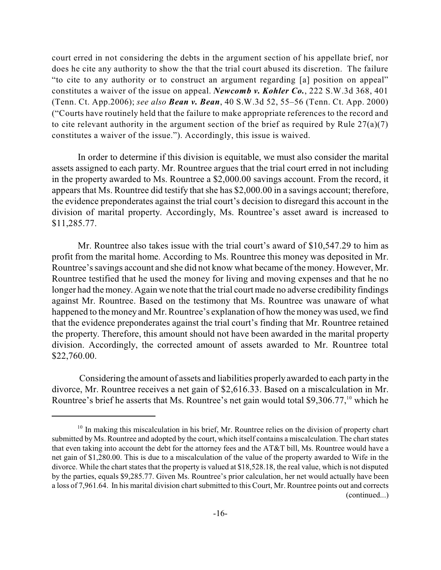court erred in not considering the debts in the argument section of his appellate brief, nor does he cite any authority to show the that the trial court abused its discretion. The failure "to cite to any authority or to construct an argument regarding [a] position on appeal" constitutes a waiver of the issue on appeal. *Newcomb v. Kohler Co.*, 222 S.W.3d 368, 401 (Tenn. Ct. App.2006); *see also Bean v. Bean*, 40 S.W.3d 52, 55–56 (Tenn. Ct. App. 2000) ("Courts have routinely held that the failure to make appropriate references to the record and to cite relevant authority in the argument section of the brief as required by Rule  $27(a)(7)$ constitutes a waiver of the issue."). Accordingly, this issue is waived.

In order to determine if this division is equitable, we must also consider the marital assets assigned to each party. Mr. Rountree argues that the trial court erred in not including in the property awarded to Ms. Rountree a \$2,000.00 savings account. From the record, it appears that Ms. Rountree did testify that she has \$2,000.00 in a savings account; therefore, the evidence preponderates against the trial court's decision to disregard this account in the division of marital property. Accordingly, Ms. Rountree's asset award is increased to \$11,285.77.

Mr. Rountree also takes issue with the trial court's award of \$10,547.29 to him as profit from the marital home. According to Ms. Rountree this money was deposited in Mr. Rountree's savings account and she did not know what became of the money. However, Mr. Rountree testified that he used the money for living and moving expenses and that he no longer had the money. Again we note that the trial court made no adverse credibility findings against Mr. Rountree. Based on the testimony that Ms. Rountree was unaware of what happened to the money and Mr. Rountree's explanation of how the moneywas used, we find that the evidence preponderates against the trial court's finding that Mr. Rountree retained the property. Therefore, this amount should not have been awarded in the marital property division. Accordingly, the corrected amount of assets awarded to Mr. Rountree total \$22,760.00.

Considering the amount of assets and liabilities properly awarded to each party in the divorce, Mr. Rountree receives a net gain of \$2,616.33. Based on a miscalculation in Mr. Rountree's brief he asserts that Ms. Rountree's net gain would total \$9,306.77, $^{10}$  which he

 $10$  In making this miscalculation in his brief, Mr. Rountree relies on the division of property chart submitted by Ms. Rountree and adopted by the court, which itself contains a miscalculation. The chart states that even taking into account the debt for the attorney fees and the AT&T bill, Ms. Rountree would have a net gain of \$1,280.00. This is due to a miscalculation of the value of the property awarded to Wife in the divorce. While the chart states that the property is valued at \$18,528.18, the real value, which is not disputed by the parties, equals \$9,285.77. Given Ms. Rountree's prior calculation, her net would actually have been a loss of 7,961.64. In his marital division chart submitted to this Court, Mr. Rountree points out and corrects (continued...)